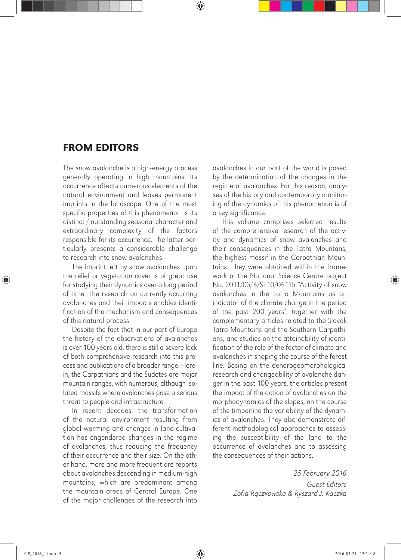## FROM EDITORS

The snow avalanche is a high-energy process generally operating in high mountains. Its occurrence affects numerous elements of the natural environment and leaves permanent imprints in the landscape. One of the most specific properties of this phenomenon is its distinct / outstanding seasonal character and extraordinary complexity of the factors responsible for its occurrence. The latter particularly presents a considerable challenge to research into snow avalanches.

The imprint left by snow avalanches upon the relief or vegetation cover is of great use for studying their dynamics over a long period of time. The research on currently occurring avalanches and their impacts enables identification of the mechanism and consequences of this natural process.

Despite the fact that in our part of Europe the history of the observations of avalanches is over 100 years old, there is still a severe lack of both comprehensive research into this process and publications of a broader range. Herein, the Carpathians and the Sudetes are major mountain ranges, with numerous, although isolated massifs where avalanches pose a serious threat to people and infrastructure.

In recent decades, the transformation of the natural environment resulting from global warming and changes in land-cultivation has engendered changes in the regime of avalanches, thus reducing the frequency of their occurrence and their size. On the other hand, more and more frequent are reports about avalanches descending in medium-high mountains, which are predominant among the mountain areas of Central Europe. One of the major challenges of the research into avalanches in our part of the world is posed by the determination of the changes in the regime of avalanches. For this reason, analyses of the history and contemporary monitoring of the dynamics of this phenomenon is of a key significance.

This volume comprises selected results of the comprehensive research of the activity and dynamics of snow avalanches and their consequences in the Tatra Mountans, the highest massif in the Carpathian Mountains. They were obtained within the framework of the National Science Centre project No. 2011/03/B/ST10/06115 *"*Activity of snow avalanches in the Tatra Mountains as an indicator of the climate change in the period of the past 200 years", together with the complementary articles related to the Slovak Tatra Mountains and the Southern Carpathians, and studies on the attainability of identification of the role of the factor of climate and avalanches in shaping the course of the forest line. Basing on the dendrogeomorphological research and changeability of avalanche danger in the past 100 years, the articles present the impact of the action of avalanches on the morphodynamics of the slopes, on the course of the timberline the variability of the dynamics of avalanches. They also demonstrate different methodological approaches to assessing the susceptibility of the land to the occurrence of avalanches and to assessing the consequences of their actions.

> *25 February 2016 Guest Editors Zofia R*ą*czkowska & Ryszard J. Kaczka*